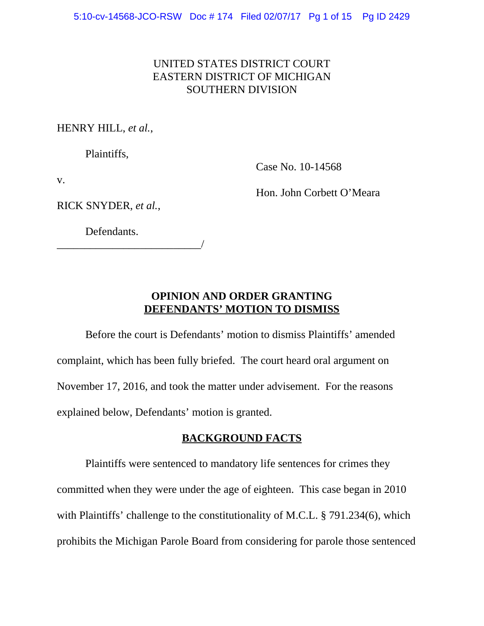# UNITED STATES DISTRICT COURT EASTERN DISTRICT OF MICHIGAN SOUTHERN DIVISION

HENRY HILL, *et al.*,

Plaintiffs,

Case No. 10-14568

v.

Hon. John Corbett O'Meara

RICK SNYDER, *et al.*,

Defendants.

\_\_\_\_\_\_\_\_\_\_\_\_\_\_\_\_\_\_\_\_\_\_\_\_\_\_/

# **OPINION AND ORDER GRANTING DEFENDANTS' MOTION TO DISMISS**

Before the court is Defendants' motion to dismiss Plaintiffs' amended complaint, which has been fully briefed. The court heard oral argument on November 17, 2016, and took the matter under advisement. For the reasons explained below, Defendants' motion is granted.

# **BACKGROUND FACTS**

Plaintiffs were sentenced to mandatory life sentences for crimes they committed when they were under the age of eighteen. This case began in 2010 with Plaintiffs' challenge to the constitutionality of M.C.L. § 791.234(6), which prohibits the Michigan Parole Board from considering for parole those sentenced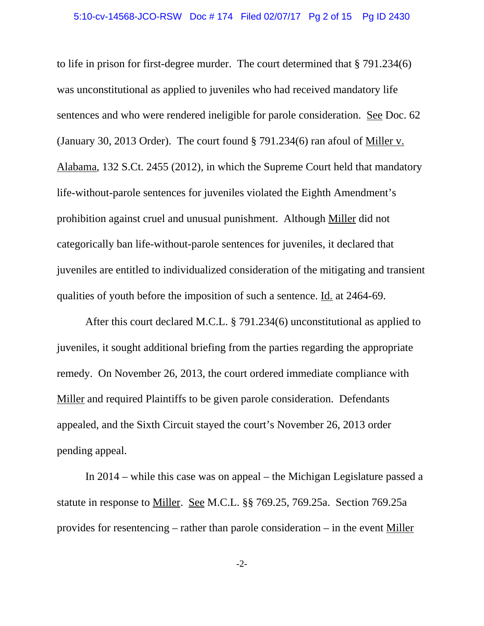to life in prison for first-degree murder. The court determined that § 791.234(6) was unconstitutional as applied to juveniles who had received mandatory life sentences and who were rendered ineligible for parole consideration. See Doc. 62 (January 30, 2013 Order). The court found § 791.234(6) ran afoul of Miller v. Alabama, 132 S.Ct. 2455 (2012), in which the Supreme Court held that mandatory life-without-parole sentences for juveniles violated the Eighth Amendment's prohibition against cruel and unusual punishment. Although Miller did not categorically ban life-without-parole sentences for juveniles, it declared that juveniles are entitled to individualized consideration of the mitigating and transient qualities of youth before the imposition of such a sentence. Id. at 2464-69.

After this court declared M.C.L. § 791.234(6) unconstitutional as applied to juveniles, it sought additional briefing from the parties regarding the appropriate remedy. On November 26, 2013, the court ordered immediate compliance with Miller and required Plaintiffs to be given parole consideration. Defendants appealed, and the Sixth Circuit stayed the court's November 26, 2013 order pending appeal.

In 2014 – while this case was on appeal – the Michigan Legislature passed a statute in response to Miller. See M.C.L. §§ 769.25, 769.25a. Section 769.25a provides for resentencing – rather than parole consideration – in the event Miller

-2-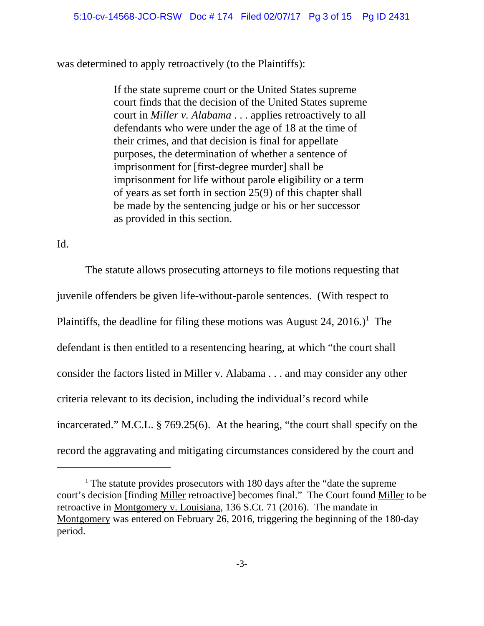was determined to apply retroactively (to the Plaintiffs):

If the state supreme court or the United States supreme court finds that the decision of the United States supreme court in *Miller v. Alabama* . . . applies retroactively to all defendants who were under the age of 18 at the time of their crimes, and that decision is final for appellate purposes, the determination of whether a sentence of imprisonment for [first-degree murder] shall be imprisonment for life without parole eligibility or a term of years as set forth in section 25(9) of this chapter shall be made by the sentencing judge or his or her successor as provided in this section.

### Id.

The statute allows prosecuting attorneys to file motions requesting that juvenile offenders be given life-without-parole sentences. (With respect to Plaintiffs, the deadline for filing these motions was August 24, 2016.)<sup>1</sup> The defendant is then entitled to a resentencing hearing, at which "the court shall consider the factors listed in Miller v. Alabama . . . and may consider any other criteria relevant to its decision, including the individual's record while incarcerated." M.C.L. § 769.25(6). At the hearing, "the court shall specify on the record the aggravating and mitigating circumstances considered by the court and

 $1$ <sup>1</sup> The statute provides prosecutors with 180 days after the "date the supreme" court's decision [finding Miller retroactive] becomes final." The Court found Miller to be retroactive in Montgomery v. Louisiana, 136 S.Ct. 71 (2016). The mandate in Montgomery was entered on February 26, 2016, triggering the beginning of the 180-day period.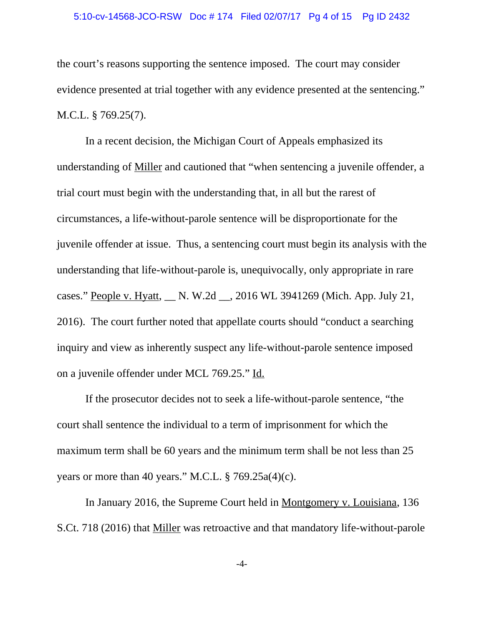#### 5:10-cv-14568-JCO-RSW Doc # 174 Filed 02/07/17 Pg 4 of 15 Pg ID 2432

the court's reasons supporting the sentence imposed. The court may consider evidence presented at trial together with any evidence presented at the sentencing." M.C.L. § 769.25(7).

In a recent decision, the Michigan Court of Appeals emphasized its understanding of Miller and cautioned that "when sentencing a juvenile offender, a trial court must begin with the understanding that, in all but the rarest of circumstances, a life-without-parole sentence will be disproportionate for the juvenile offender at issue. Thus, a sentencing court must begin its analysis with the understanding that life-without-parole is, unequivocally, only appropriate in rare cases." People v. Hyatt, \_\_ N. W.2d \_\_, 2016 WL 3941269 (Mich. App. July 21, 2016). The court further noted that appellate courts should "conduct a searching inquiry and view as inherently suspect any life-without-parole sentence imposed on a juvenile offender under MCL 769.25." Id.

If the prosecutor decides not to seek a life-without-parole sentence, "the court shall sentence the individual to a term of imprisonment for which the maximum term shall be 60 years and the minimum term shall be not less than 25 years or more than 40 years." M.C.L. § 769.25a(4)(c).

In January 2016, the Supreme Court held in Montgomery v. Louisiana, 136 S.Ct. 718 (2016) that Miller was retroactive and that mandatory life-without-parole

-4-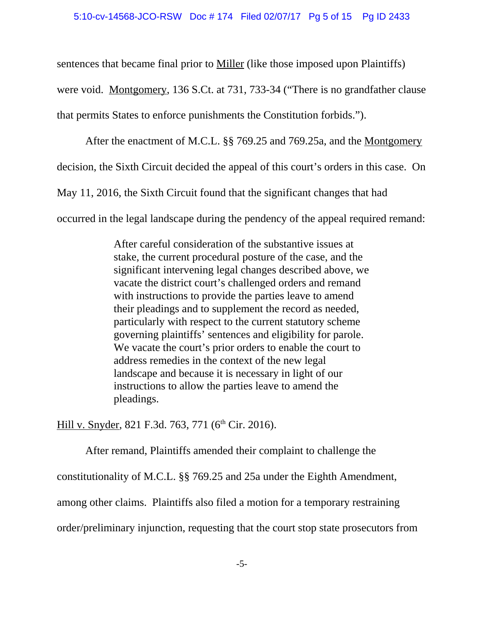sentences that became final prior to <u>Miller</u> (like those imposed upon Plaintiffs) were void. Montgomery, 136 S.Ct. at 731, 733-34 ("There is no grandfather clause that permits States to enforce punishments the Constitution forbids.").

After the enactment of M.C.L. §§ 769.25 and 769.25a, and the Montgomery decision, the Sixth Circuit decided the appeal of this court's orders in this case. On May 11, 2016, the Sixth Circuit found that the significant changes that had occurred in the legal landscape during the pendency of the appeal required remand:

> After careful consideration of the substantive issues at stake, the current procedural posture of the case, and the significant intervening legal changes described above, we vacate the district court's challenged orders and remand with instructions to provide the parties leave to amend their pleadings and to supplement the record as needed, particularly with respect to the current statutory scheme governing plaintiffs' sentences and eligibility for parole. We vacate the court's prior orders to enable the court to address remedies in the context of the new legal landscape and because it is necessary in light of our instructions to allow the parties leave to amend the pleadings.

Hill v. Snyder, 821 F.3d. 763, 771 (6<sup>th</sup> Cir. 2016).

After remand, Plaintiffs amended their complaint to challenge the constitutionality of M.C.L. §§ 769.25 and 25a under the Eighth Amendment, among other claims. Plaintiffs also filed a motion for a temporary restraining order/preliminary injunction, requesting that the court stop state prosecutors from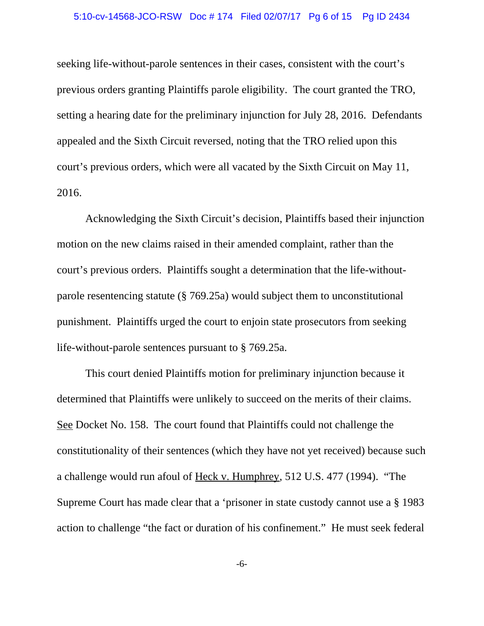seeking life-without-parole sentences in their cases, consistent with the court's previous orders granting Plaintiffs parole eligibility. The court granted the TRO, setting a hearing date for the preliminary injunction for July 28, 2016. Defendants appealed and the Sixth Circuit reversed, noting that the TRO relied upon this court's previous orders, which were all vacated by the Sixth Circuit on May 11, 2016.

Acknowledging the Sixth Circuit's decision, Plaintiffs based their injunction motion on the new claims raised in their amended complaint, rather than the court's previous orders. Plaintiffs sought a determination that the life-withoutparole resentencing statute (§ 769.25a) would subject them to unconstitutional punishment. Plaintiffs urged the court to enjoin state prosecutors from seeking life-without-parole sentences pursuant to § 769.25a.

This court denied Plaintiffs motion for preliminary injunction because it determined that Plaintiffs were unlikely to succeed on the merits of their claims. See Docket No. 158. The court found that Plaintiffs could not challenge the constitutionality of their sentences (which they have not yet received) because such a challenge would run afoul of Heck v. Humphrey, 512 U.S. 477 (1994). "The Supreme Court has made clear that a 'prisoner in state custody cannot use a § 1983 action to challenge "the fact or duration of his confinement." He must seek federal

-6-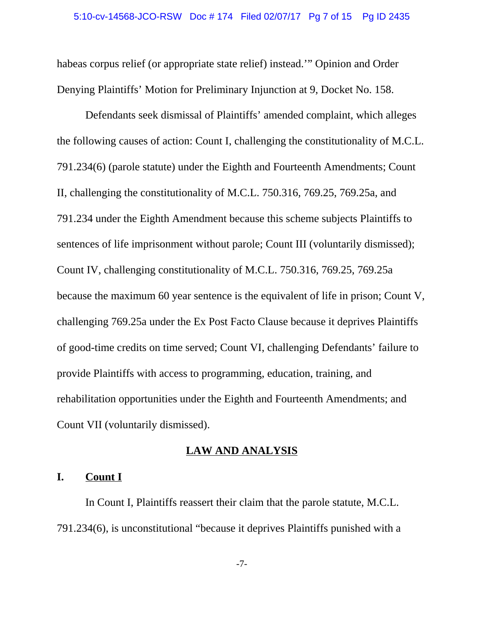habeas corpus relief (or appropriate state relief) instead.'" Opinion and Order Denying Plaintiffs' Motion for Preliminary Injunction at 9, Docket No. 158.

Defendants seek dismissal of Plaintiffs' amended complaint, which alleges the following causes of action: Count I, challenging the constitutionality of M.C.L. 791.234(6) (parole statute) under the Eighth and Fourteenth Amendments; Count II, challenging the constitutionality of M.C.L. 750.316, 769.25, 769.25a, and 791.234 under the Eighth Amendment because this scheme subjects Plaintiffs to sentences of life imprisonment without parole; Count III (voluntarily dismissed); Count IV, challenging constitutionality of M.C.L. 750.316, 769.25, 769.25a because the maximum 60 year sentence is the equivalent of life in prison; Count V, challenging 769.25a under the Ex Post Facto Clause because it deprives Plaintiffs of good-time credits on time served; Count VI, challenging Defendants' failure to provide Plaintiffs with access to programming, education, training, and rehabilitation opportunities under the Eighth and Fourteenth Amendments; and Count VII (voluntarily dismissed).

### **LAW AND ANALYSIS**

## **I. Count I**

In Count I, Plaintiffs reassert their claim that the parole statute, M.C.L. 791.234(6), is unconstitutional "because it deprives Plaintiffs punished with a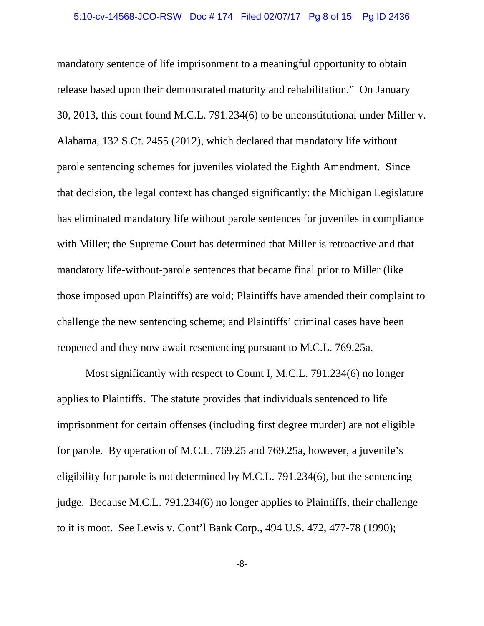mandatory sentence of life imprisonment to a meaningful opportunity to obtain release based upon their demonstrated maturity and rehabilitation." On January 30, 2013, this court found M.C.L. 791.234(6) to be unconstitutional under Miller v. Alabama, 132 S.Ct. 2455 (2012), which declared that mandatory life without parole sentencing schemes for juveniles violated the Eighth Amendment. Since that decision, the legal context has changed significantly: the Michigan Legislature has eliminated mandatory life without parole sentences for juveniles in compliance with Miller; the Supreme Court has determined that Miller is retroactive and that mandatory life-without-parole sentences that became final prior to Miller (like those imposed upon Plaintiffs) are void; Plaintiffs have amended their complaint to challenge the new sentencing scheme; and Plaintiffs' criminal cases have been reopened and they now await resentencing pursuant to M.C.L. 769.25a.

Most significantly with respect to Count I, M.C.L. 791.234(6) no longer applies to Plaintiffs. The statute provides that individuals sentenced to life imprisonment for certain offenses (including first degree murder) are not eligible for parole. By operation of M.C.L. 769.25 and 769.25a, however, a juvenile's eligibility for parole is not determined by M.C.L. 791.234(6), but the sentencing judge. Because M.C.L. 791.234(6) no longer applies to Plaintiffs, their challenge to it is moot. See Lewis v. Cont'l Bank Corp., 494 U.S. 472, 477-78 (1990);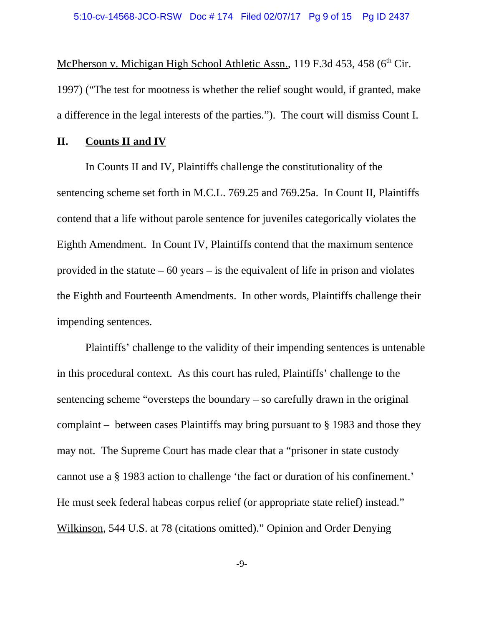McPherson v. Michigan High School Athletic Assn., 119 F.3d 453, 458 ( $6<sup>th</sup>$  Cir. 1997) ("The test for mootness is whether the relief sought would, if granted, make a difference in the legal interests of the parties."). The court will dismiss Count I.

### **II. Counts II and IV**

In Counts II and IV, Plaintiffs challenge the constitutionality of the sentencing scheme set forth in M.C.L. 769.25 and 769.25a. In Count II, Plaintiffs contend that a life without parole sentence for juveniles categorically violates the Eighth Amendment. In Count IV, Plaintiffs contend that the maximum sentence provided in the statute  $-60$  years  $-$  is the equivalent of life in prison and violates the Eighth and Fourteenth Amendments. In other words, Plaintiffs challenge their impending sentences.

Plaintiffs' challenge to the validity of their impending sentences is untenable in this procedural context. As this court has ruled, Plaintiffs' challenge to the sentencing scheme "oversteps the boundary – so carefully drawn in the original complaint – between cases Plaintiffs may bring pursuant to § 1983 and those they may not. The Supreme Court has made clear that a "prisoner in state custody cannot use a § 1983 action to challenge 'the fact or duration of his confinement.' He must seek federal habeas corpus relief (or appropriate state relief) instead." Wilkinson, 544 U.S. at 78 (citations omitted)." Opinion and Order Denying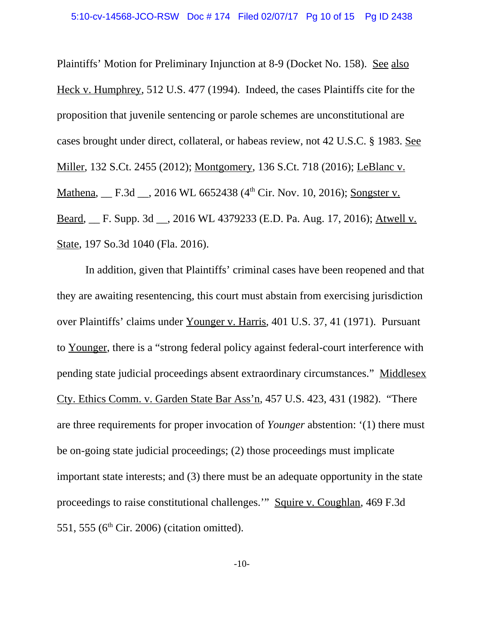Plaintiffs' Motion for Preliminary Injunction at 8-9 (Docket No. 158). See also Heck v. Humphrey, 512 U.S. 477 (1994). Indeed, the cases Plaintiffs cite for the proposition that juvenile sentencing or parole schemes are unconstitutional are cases brought under direct, collateral, or habeas review, not 42 U.S.C. § 1983. See Miller, 132 S.Ct. 2455 (2012); Montgomery, 136 S.Ct. 718 (2016); LeBlanc v. Mathena, F.3d , 2016 WL 6652438 (4<sup>th</sup> Cir. Nov. 10, 2016); Songster v. Beard, \_\_ F. Supp. 3d \_\_, 2016 WL 4379233 (E.D. Pa. Aug. 17, 2016); Atwell v. State, 197 So.3d 1040 (Fla. 2016).

In addition, given that Plaintiffs' criminal cases have been reopened and that they are awaiting resentencing, this court must abstain from exercising jurisdiction over Plaintiffs' claims under Younger v. Harris, 401 U.S. 37, 41 (1971). Pursuant to Younger, there is a "strong federal policy against federal-court interference with pending state judicial proceedings absent extraordinary circumstances." Middlesex Cty. Ethics Comm. v. Garden State Bar Ass'n, 457 U.S. 423, 431 (1982). "There are three requirements for proper invocation of *Younger* abstention: '(1) there must be on-going state judicial proceedings; (2) those proceedings must implicate important state interests; and (3) there must be an adequate opportunity in the state proceedings to raise constitutional challenges.'" Squire v. Coughlan, 469 F.3d 551, 555 ( $6<sup>th</sup>$  Cir. 2006) (citation omitted).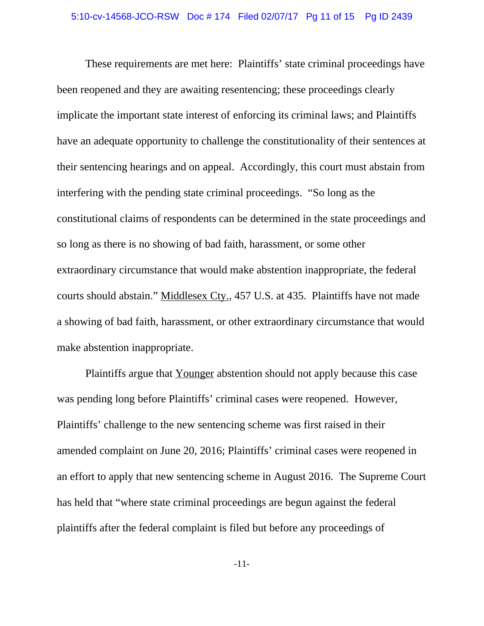These requirements are met here: Plaintiffs' state criminal proceedings have been reopened and they are awaiting resentencing; these proceedings clearly implicate the important state interest of enforcing its criminal laws; and Plaintiffs have an adequate opportunity to challenge the constitutionality of their sentences at their sentencing hearings and on appeal. Accordingly, this court must abstain from interfering with the pending state criminal proceedings. "So long as the constitutional claims of respondents can be determined in the state proceedings and so long as there is no showing of bad faith, harassment, or some other extraordinary circumstance that would make abstention inappropriate, the federal courts should abstain." Middlesex Cty., 457 U.S. at 435. Plaintiffs have not made a showing of bad faith, harassment, or other extraordinary circumstance that would make abstention inappropriate.

Plaintiffs argue that Younger abstention should not apply because this case was pending long before Plaintiffs' criminal cases were reopened. However, Plaintiffs' challenge to the new sentencing scheme was first raised in their amended complaint on June 20, 2016; Plaintiffs' criminal cases were reopened in an effort to apply that new sentencing scheme in August 2016. The Supreme Court has held that "where state criminal proceedings are begun against the federal plaintiffs after the federal complaint is filed but before any proceedings of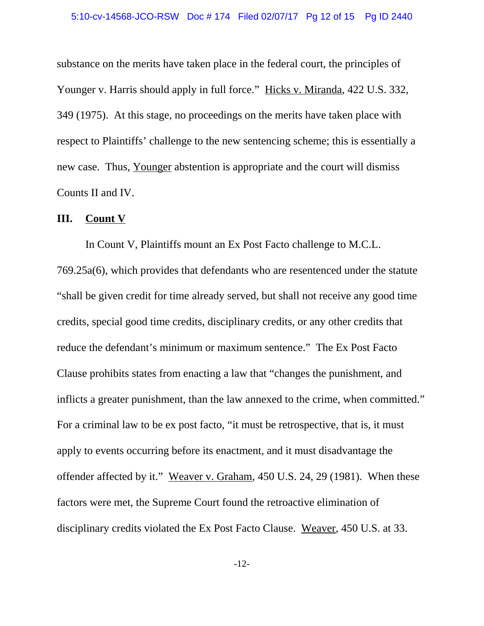substance on the merits have taken place in the federal court, the principles of Younger v. Harris should apply in full force." Hicks v. Miranda, 422 U.S. 332, 349 (1975). At this stage, no proceedings on the merits have taken place with respect to Plaintiffs' challenge to the new sentencing scheme; this is essentially a new case. Thus, Younger abstention is appropriate and the court will dismiss Counts II and IV.

# **III. Count V**

In Count V, Plaintiffs mount an Ex Post Facto challenge to M.C.L. 769.25a(6), which provides that defendants who are resentenced under the statute "shall be given credit for time already served, but shall not receive any good time credits, special good time credits, disciplinary credits, or any other credits that reduce the defendant's minimum or maximum sentence." The Ex Post Facto Clause prohibits states from enacting a law that "changes the punishment, and inflicts a greater punishment, than the law annexed to the crime, when committed." For a criminal law to be ex post facto, "it must be retrospective, that is, it must apply to events occurring before its enactment, and it must disadvantage the offender affected by it." Weaver v. Graham, 450 U.S. 24, 29 (1981). When these factors were met, the Supreme Court found the retroactive elimination of disciplinary credits violated the Ex Post Facto Clause. Weaver, 450 U.S. at 33.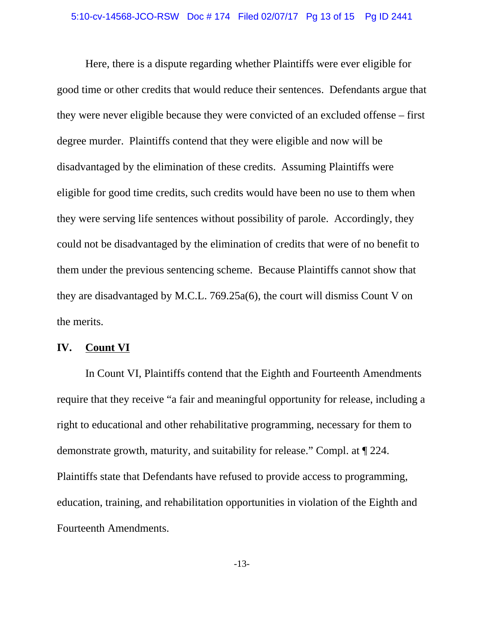Here, there is a dispute regarding whether Plaintiffs were ever eligible for good time or other credits that would reduce their sentences. Defendants argue that they were never eligible because they were convicted of an excluded offense – first degree murder. Plaintiffs contend that they were eligible and now will be disadvantaged by the elimination of these credits. Assuming Plaintiffs were eligible for good time credits, such credits would have been no use to them when they were serving life sentences without possibility of parole. Accordingly, they could not be disadvantaged by the elimination of credits that were of no benefit to them under the previous sentencing scheme. Because Plaintiffs cannot show that they are disadvantaged by M.C.L. 769.25a(6), the court will dismiss Count V on the merits.

#### **IV. Count VI**

In Count VI, Plaintiffs contend that the Eighth and Fourteenth Amendments require that they receive "a fair and meaningful opportunity for release, including a right to educational and other rehabilitative programming, necessary for them to demonstrate growth, maturity, and suitability for release." Compl. at ¶ 224. Plaintiffs state that Defendants have refused to provide access to programming, education, training, and rehabilitation opportunities in violation of the Eighth and Fourteenth Amendments.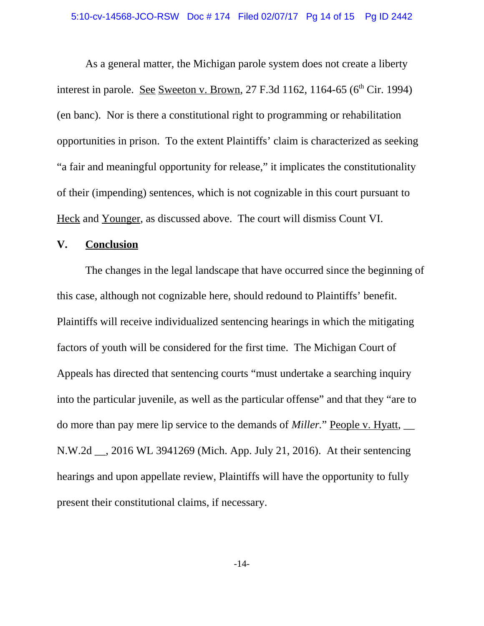As a general matter, the Michigan parole system does not create a liberty interest in parole. See Sweeton v. Brown, 27 F.3d 1162, 1164-65 ( $6<sup>th</sup>$  Cir. 1994) (en banc). Nor is there a constitutional right to programming or rehabilitation opportunities in prison. To the extent Plaintiffs' claim is characterized as seeking "a fair and meaningful opportunity for release," it implicates the constitutionality of their (impending) sentences, which is not cognizable in this court pursuant to Heck and Younger, as discussed above. The court will dismiss Count VI.

### **V. Conclusion**

The changes in the legal landscape that have occurred since the beginning of this case, although not cognizable here, should redound to Plaintiffs' benefit. Plaintiffs will receive individualized sentencing hearings in which the mitigating factors of youth will be considered for the first time. The Michigan Court of Appeals has directed that sentencing courts "must undertake a searching inquiry into the particular juvenile, as well as the particular offense" and that they "are to do more than pay mere lip service to the demands of *Miller.*" People v. Hyatt, \_\_ N.W.2d \_\_, 2016 WL 3941269 (Mich. App. July 21, 2016). At their sentencing hearings and upon appellate review, Plaintiffs will have the opportunity to fully present their constitutional claims, if necessary.